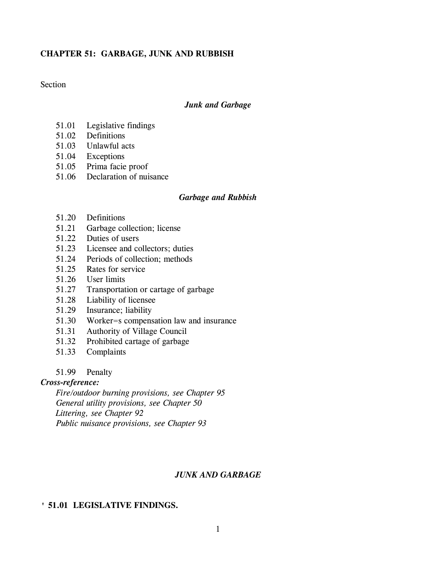# **CHAPTER 51: GARBAGE, JUNK AND RUBBISH**

# **Section**

## *Junk and Garbage*

- 51.01 Legislative findings
- 51.02 Definitions
- 51.03 Unlawful acts
- 51.04 Exceptions
- 51.05 Prima facie proof
- 51.06 Declaration of nuisance

# *Garbage and Rubbish*

- 51.20 Definitions
- 51.21 Garbage collection; license
- 51.22 Duties of users
- 51.23 Licensee and collectors; duties
- 51.24 Periods of collection; methods
- 51.25 Rates for service
- 51.26 User limits
- 51.27 Transportation or cartage of garbage
- 51.28 Liability of licensee
- 51.29 Insurance; liability
- 51.30 Worker=s compensation law and insurance
- 51.31 Authority of Village Council
- 51.32 Prohibited cartage of garbage
- 51.33 Complaints

# 51.99 Penalty

# *Cross-reference:*

*Fire/outdoor burning provisions, see Chapter 95 General utility provisions, see Chapter 50 Littering, see Chapter 92 Public nuisance provisions, see Chapter 93*

# *JUNK AND GARBAGE*

# **' 51.01 LEGISLATIVE FINDINGS.**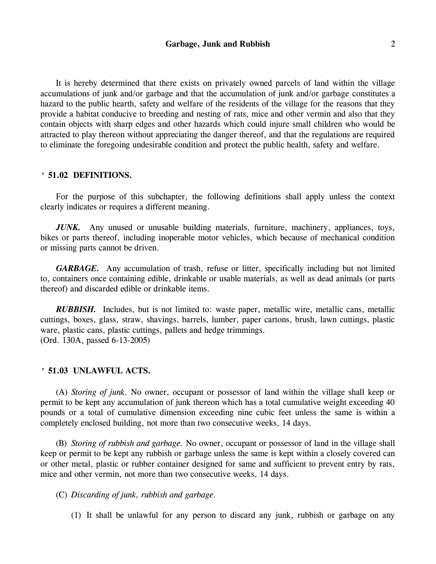It is hereby determined that there exists on privately owned parcels of land within the village accumulations of junk and/or garbage and that the accumulation of junk and/or garbage constitutes a hazard to the public hearth, safety and welfare of the residents of the village for the reasons that they provide a habitat conducive to breeding and nesting of rats, mice and other vermin and also that they contain objects with sharp edges and other hazards which could injure small children who would be attracted to play thereon without appreciating the danger thereof, and that the regulations are required to eliminate the foregoing undesirable condition and protect the public health, safety and welfare.

#### **' 51.02 DEFINITIONS.**

For the purpose of this subchapter, the following definitions shall apply unless the context clearly indicates or requires a different meaning.

*JUNK.* Any unused or unusable building materials, furniture, machinery, appliances, toys, bikes or parts thereof, including inoperable motor vehicles, which because of mechanical condition or missing parts cannot be driven.

*GARBAGE.* Any accumulation of trash, refuse or litter, specifically including but not limited to, containers once containing edible, drinkable or usable materials, as well as dead animals (or parts thereof) and discarded edible or drinkable items.

*RUBBISH.* Includes, but is not limited to: waste paper, metallic wire, metallic cans, metallic cuttings, boxes, glass, straw, shavings, barrels, lumber, paper cartons, brush, lawn cuttings, plastic ware, plastic cans, plastic cuttings, pallets and hedge trimmings. (Ord. 130A, passed 6-13-2005)

## **' 51.03 UNLAWFUL ACTS.**

(A) *Storing of junk.* No owner, occupant or possessor of land within the village shall keep or permit to be kept any accumulation of junk thereon which has a total cumulative weight exceeding 40 pounds or a total of cumulative dimension exceeding nine cubic feet unless the same is within a completely enclosed building, not more than two consecutive weeks, 14 days.

(B) *Storing of rubbish and garbage.* No owner, occupant or possessor of land in the village shall keep or permit to be kept any rubbish or garbage unless the same is kept within a closely covered can or other metal, plastic or rubber container designed for same and sufficient to prevent entry by rats, mice and other vermin, not more than two consecutive weeks, 14 days.

(C) *Discarding of junk, rubbish and garbage.*

(1) It shall be unlawful for any person to discard any junk, rubbish or garbage on any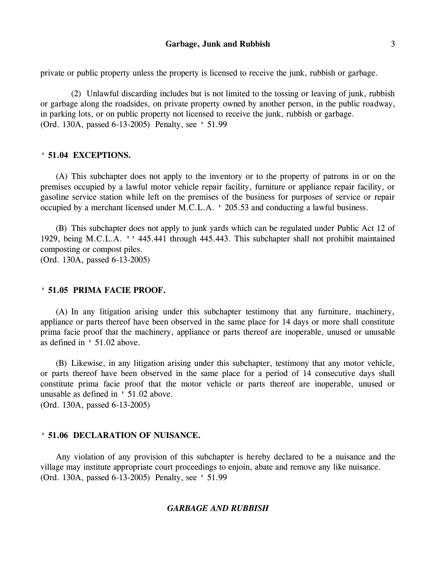private or public property unless the property is licensed to receive the junk, rubbish or garbage.

(2) Unlawful discarding includes but is not limited to the tossing or leaving of junk, rubbish or garbage along the roadsides, on private property owned by another person, in the public roadway, in parking lots, or on public property not licensed to receive the junk, rubbish or garbage. (Ord. 130A, passed 6-13-2005) Penalty, see ' 51.99

#### **' 51.04 EXCEPTIONS.**

(A) This subchapter does not apply to the inventory or to the property of patrons in or on the premises occupied by a lawful motor vehicle repair facility, furniture or appliance repair facility, or gasoline service station while left on the premises of the business for purposes of service or repair occupied by a merchant licensed under M.C.L.A. ' 205.53 and conducting a lawful business.

(B) This subchapter does not apply to junk yards which can be regulated under Public Act 12 of 1929, being M.C.L.A. '' 445.441 through 445.443. This subchapter shall not prohibit maintained composting or compost piles.

(Ord. 130A, passed 6-13-2005)

# **' 51.05 PRIMA FACIE PROOF.**

(A) In any litigation arising under this subchapter testimony that any furniture, machinery, appliance or parts thereof have been observed in the same place for 14 days or more shall constitute prima facie proof that the machinery, appliance or parts thereof are inoperable, unused or unusable as defined in ' 51.02 above.

(B) Likewise, in any litigation arising under this subchapter, testimony that any motor vehicle, or parts thereof have been observed in the same place for a period of 14 consecutive days shall constitute prima facie proof that the motor vehicle or parts thereof are inoperable, unused or unusable as defined in ' 51.02 above.

(Ord. 130A, passed 6-13-2005)

## **' 51.06 DECLARATION OF NUISANCE.**

Any violation of any provision of this subchapter is hereby declared to be a nuisance and the village may institute appropriate court proceedings to enjoin, abate and remove any like nuisance. (Ord. 130A, passed 6-13-2005) Penalty, see ' 51.99

# *GARBAGE AND RUBBISH*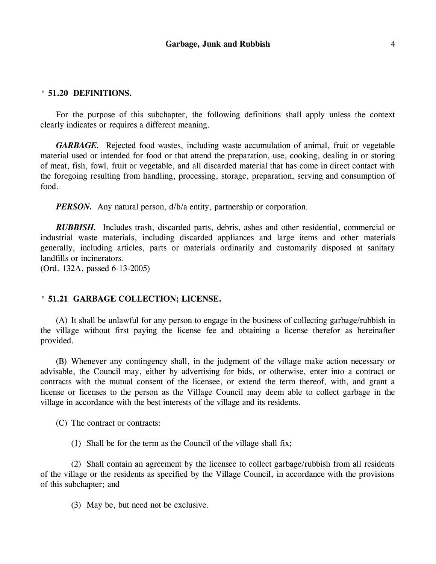## **' 51.20 DEFINITIONS.**

For the purpose of this subchapter, the following definitions shall apply unless the context clearly indicates or requires a different meaning.

*GARBAGE.* Rejected food wastes, including waste accumulation of animal, fruit or vegetable material used or intended for food or that attend the preparation, use, cooking, dealing in or storing of meat, fish, fowl, fruit or vegetable, and all discarded material that has come in direct contact with the foregoing resulting from handling, processing, storage, preparation, serving and consumption of food.

*PERSON.* Any natural person,  $d/b/a$  entity, partnership or corporation.

*RUBBISH.* Includes trash, discarded parts, debris, ashes and other residential, commercial or industrial waste materials, including discarded appliances and large items and other materials generally, including articles, parts or materials ordinarily and customarily disposed at sanitary landfills or incinerators.

(Ord. 132A, passed 6-13-2005)

### **' 51.21 GARBAGE COLLECTION; LICENSE.**

(A) It shall be unlawful for any person to engage in the business of collecting garbage/rubbish in the village without first paying the license fee and obtaining a license therefor as hereinafter provided.

(B) Whenever any contingency shall, in the judgment of the village make action necessary or advisable, the Council may, either by advertising for bids, or otherwise, enter into a contract or contracts with the mutual consent of the licensee, or extend the term thereof, with, and grant a license or licenses to the person as the Village Council may deem able to collect garbage in the village in accordance with the best interests of the village and its residents.

(C) The contract or contracts:

(1) Shall be for the term as the Council of the village shall fix;

(2) Shall contain an agreement by the licensee to collect garbage/rubbish from all residents of the village or the residents as specified by the Village Council, in accordance with the provisions of this subchapter; and

(3) May be, but need not be exclusive.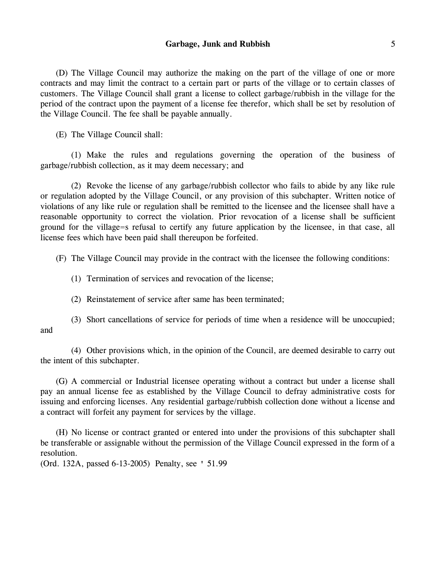# **Garbage, Junk and Rubbish** 5

(D) The Village Council may authorize the making on the part of the village of one or more contracts and may limit the contract to a certain part or parts of the village or to certain classes of customers. The Village Council shall grant a license to collect garbage/rubbish in the village for the period of the contract upon the payment of a license fee therefor, which shall be set by resolution of the Village Council. The fee shall be payable annually.

(E) The Village Council shall:

(1) Make the rules and regulations governing the operation of the business of garbage/rubbish collection, as it may deem necessary; and

(2) Revoke the license of any garbage/rubbish collector who fails to abide by any like rule or regulation adopted by the Village Council, or any provision of this subchapter. Written notice of violations of any like rule or regulation shall be remitted to the licensee and the licensee shall have a reasonable opportunity to correct the violation. Prior revocation of a license shall be sufficient ground for the village=s refusal to certify any future application by the licensee, in that case, all license fees which have been paid shall thereupon be forfeited.

(F) The Village Council may provide in the contract with the licensee the following conditions:

(1) Termination of services and revocation of the license;

(2) Reinstatement of service after same has been terminated;

(3) Short cancellations of service for periods of time when a residence will be unoccupied; and

(4) Other provisions which, in the opinion of the Council, are deemed desirable to carry out the intent of this subchapter.

(G) A commercial or Industrial licensee operating without a contract but under a license shall pay an annual license fee as established by the Village Council to defray administrative costs for issuing and enforcing licenses. Any residential garbage/rubbish collection done without a license and a contract will forfeit any payment for services by the village.

(H) No license or contract granted or entered into under the provisions of this subchapter shall be transferable or assignable without the permission of the Village Council expressed in the form of a resolution.

(Ord. 132A, passed 6-13-2005) Penalty, see ' 51.99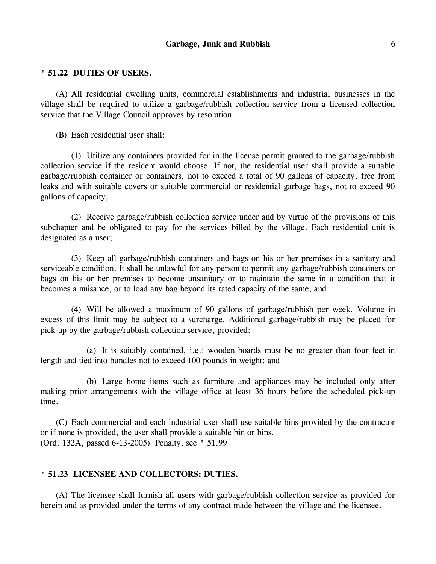#### **' 51.22 DUTIES OF USERS.**

(A) All residential dwelling units, commercial establishments and industrial businesses in the village shall be required to utilize a garbage/rubbish collection service from a licensed collection service that the Village Council approves by resolution.

(B) Each residential user shall:

(1) Utilize any containers provided for in the license permit granted to the garbage/rubbish collection service if the resident would choose. If not, the residential user shall provide a suitable garbage/rubbish container or containers, not to exceed a total of 90 gallons of capacity, free from leaks and with suitable covers or suitable commercial or residential garbage bags, not to exceed 90 gallons of capacity;

(2) Receive garbage/rubbish collection service under and by virtue of the provisions of this subchapter and be obligated to pay for the services billed by the village. Each residential unit is designated as a user;

(3) Keep all garbage/rubbish containers and bags on his or her premises in a sanitary and serviceable condition. It shall be unlawful for any person to permit any garbage/rubbish containers or bags on his or her premises to become unsanitary or to maintain the same in a condition that it becomes a nuisance, or to load any bag beyond its rated capacity of the same; and

(4) Will be allowed a maximum of 90 gallons of garbage/rubbish per week. Volume in excess of this limit may be subject to a surcharge. Additional garbage/rubbish may be placed for pick-up by the garbage/rubbish collection service, provided:

(a) It is suitably contained, i.e.: wooden boards must be no greater than four feet in length and tied into bundles not to exceed 100 pounds in weight; and

(b) Large home items such as furniture and appliances may be included only after making prior arrangements with the village office at least 36 hours before the scheduled pick-up time.

(C) Each commercial and each industrial user shall use suitable bins provided by the contractor or if none is provided, the user shall provide a suitable bin or bins. (Ord. 132A, passed 6-13-2005) Penalty, see ' 51.99

# **' 51.23 LICENSEE AND COLLECTORS; DUTIES.**

(A) The licensee shall furnish all users with garbage/rubbish collection service as provided for herein and as provided under the terms of any contract made between the village and the licensee.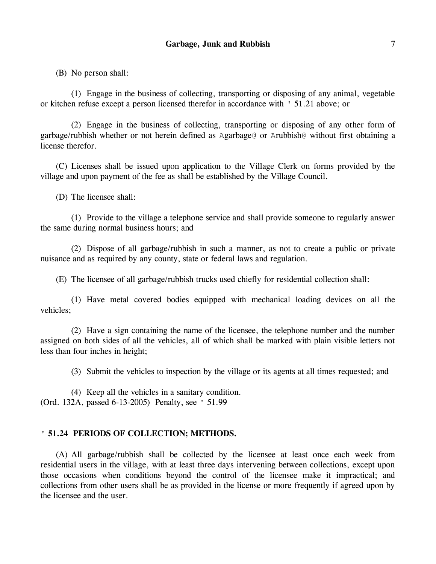(B) No person shall:

(1) Engage in the business of collecting, transporting or disposing of any animal, vegetable or kitchen refuse except a person licensed therefor in accordance with ' 51.21 above; or

(2) Engage in the business of collecting, transporting or disposing of any other form of garbage/rubbish whether or not herein defined as Agarbage@ or Arubbish@ without first obtaining a license therefor.

(C) Licenses shall be issued upon application to the Village Clerk on forms provided by the village and upon payment of the fee as shall be established by the Village Council.

(D) The licensee shall:

(1) Provide to the village a telephone service and shall provide someone to regularly answer the same during normal business hours; and

(2) Dispose of all garbage/rubbish in such a manner, as not to create a public or private nuisance and as required by any county, state or federal laws and regulation.

(E) The licensee of all garbage/rubbish trucks used chiefly for residential collection shall:

(1) Have metal covered bodies equipped with mechanical loading devices on all the vehicles;

(2) Have a sign containing the name of the licensee, the telephone number and the number assigned on both sides of all the vehicles, all of which shall be marked with plain visible letters not less than four inches in height;

(3) Submit the vehicles to inspection by the village or its agents at all times requested; and

(4) Keep all the vehicles in a sanitary condition. (Ord. 132A, passed 6-13-2005) Penalty, see ' 51.99

# **' 51.24 PERIODS OF COLLECTION; METHODS.**

(A) All garbage/rubbish shall be collected by the licensee at least once each week from residential users in the village, with at least three days intervening between collections, except upon those occasions when conditions beyond the control of the licensee make it impractical; and collections from other users shall be as provided in the license or more frequently if agreed upon by the licensee and the user.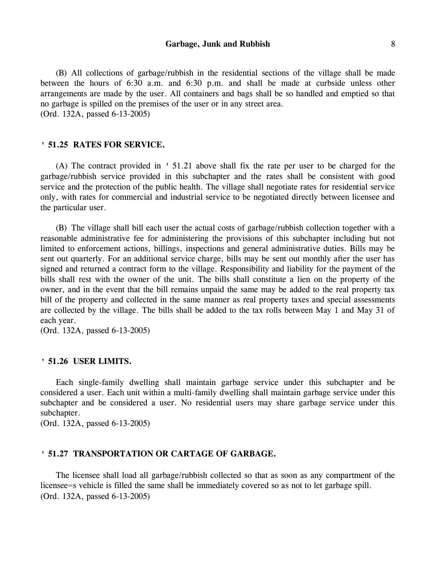#### **Garbage, Junk and Rubbish** 8

(B) All collections of garbage/rubbish in the residential sections of the village shall be made between the hours of 6:30 a.m. and 6:30 p.m. and shall be made at curbside unless other arrangements are made by the user. All containers and bags shall be so handled and emptied so that no garbage is spilled on the premises of the user or in any street area. (Ord. 132A, passed 6-13-2005)

# **' 51.25 RATES FOR SERVICE.**

(A) The contract provided in ' 51.21 above shall fix the rate per user to be charged for the garbage/rubbish service provided in this subchapter and the rates shall be consistent with good service and the protection of the public health. The village shall negotiate rates for residential service only, with rates for commercial and industrial service to be negotiated directly between licensee and the particular user.

(B) The village shall bill each user the actual costs of garbage/rubbish collection together with a reasonable administrative fee for administering the provisions of this subchapter including but not limited to enforcement actions, billings, inspections and general administrative duties. Bills may be sent out quarterly. For an additional service charge, bills may be sent out monthly after the user has signed and returned a contract form to the village. Responsibility and liability for the payment of the bills shall rest with the owner of the unit. The bills shall constitute a lien on the property of the owner, and in the event that the bill remains unpaid the same may be added to the real property tax bill of the property and collected in the same manner as real property taxes and special assessments are collected by the village. The bills shall be added to the tax rolls between May 1 and May 31 of each year.

(Ord. 132A, passed 6-13-2005)

#### **' 51.26 USER LIMITS.**

Each single-family dwelling shall maintain garbage service under this subchapter and be considered a user. Each unit within a multi-family dwelling shall maintain garbage service under this subchapter and be considered a user. No residential users may share garbage service under this subchapter.

(Ord. 132A, passed 6-13-2005)

#### **' 51.27 TRANSPORTATION OR CARTAGE OF GARBAGE.**

The licensee shall load all garbage/rubbish collected so that as soon as any compartment of the licensee=s vehicle is filled the same shall be immediately covered so as not to let garbage spill. (Ord. 132A, passed 6-13-2005)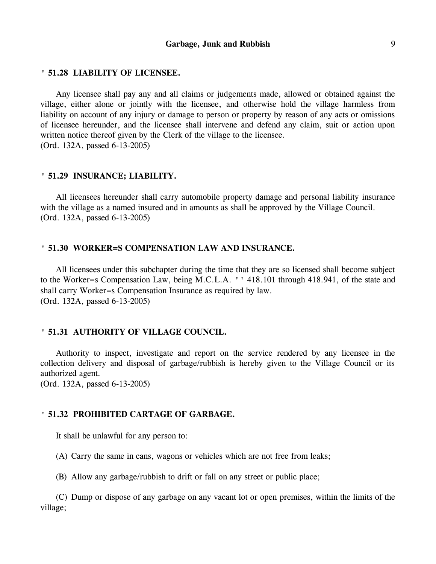#### **' 51.28 LIABILITY OF LICENSEE.**

Any licensee shall pay any and all claims or judgements made, allowed or obtained against the village, either alone or jointly with the licensee, and otherwise hold the village harmless from liability on account of any injury or damage to person or property by reason of any acts or omissions of licensee hereunder, and the licensee shall intervene and defend any claim, suit or action upon written notice thereof given by the Clerk of the village to the licensee. (Ord. 132A, passed 6-13-2005)

# **' 51.29 INSURANCE; LIABILITY.**

All licensees hereunder shall carry automobile property damage and personal liability insurance with the village as a named insured and in amounts as shall be approved by the Village Council. (Ord. 132A, passed 6-13-2005)

## **' 51.30 WORKER=S COMPENSATION LAW AND INSURANCE.**

All licensees under this subchapter during the time that they are so licensed shall become subject to the Worker=s Compensation Law, being M.C.L.A. '' 418.101 through 418.941, of the state and shall carry Worker=s Compensation Insurance as required by law. (Ord. 132A, passed 6-13-2005)

# **' 51.31 AUTHORITY OF VILLAGE COUNCIL.**

Authority to inspect, investigate and report on the service rendered by any licensee in the collection delivery and disposal of garbage/rubbish is hereby given to the Village Council or its authorized agent.

(Ord. 132A, passed 6-13-2005)

### **' 51.32 PROHIBITED CARTAGE OF GARBAGE.**

It shall be unlawful for any person to:

(A) Carry the same in cans, wagons or vehicles which are not free from leaks;

(B) Allow any garbage/rubbish to drift or fall on any street or public place;

(C) Dump or dispose of any garbage on any vacant lot or open premises, within the limits of the village;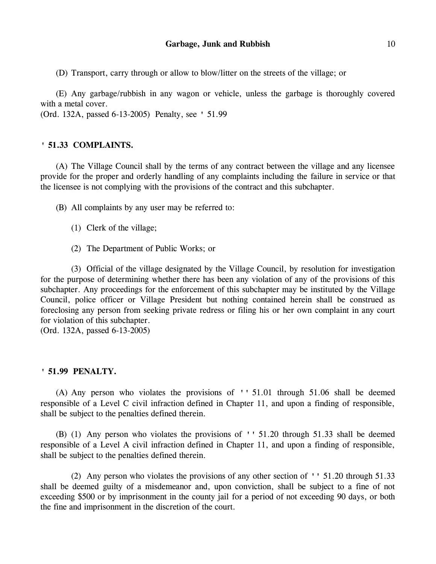(D) Transport, carry through or allow to blow/litter on the streets of the village; or

(E) Any garbage/rubbish in any wagon or vehicle, unless the garbage is thoroughly covered with a metal cover.

(Ord. 132A, passed 6-13-2005) Penalty, see ' 51.99

# **' 51.33 COMPLAINTS.**

(A) The Village Council shall by the terms of any contract between the village and any licensee provide for the proper and orderly handling of any complaints including the failure in service or that the licensee is not complying with the provisions of the contract and this subchapter.

(B) All complaints by any user may be referred to:

- (1) Clerk of the village;
- (2) The Department of Public Works; or

(3) Official of the village designated by the Village Council, by resolution for investigation for the purpose of determining whether there has been any violation of any of the provisions of this subchapter. Any proceedings for the enforcement of this subchapter may be instituted by the Village Council, police officer or Village President but nothing contained herein shall be construed as foreclosing any person from seeking private redress or filing his or her own complaint in any court for violation of this subchapter.

(Ord. 132A, passed 6-13-2005)

# **' 51.99 PENALTY.**

(A) Any person who violates the provisions of '' 51.01 through 51.06 shall be deemed responsible of a Level C civil infraction defined in Chapter 11, and upon a finding of responsible, shall be subject to the penalties defined therein.

(B) (1) Any person who violates the provisions of '' 51.20 through 51.33 shall be deemed responsible of a Level A civil infraction defined in Chapter 11, and upon a finding of responsible, shall be subject to the penalties defined therein.

(2) Any person who violates the provisions of any other section of '' 51.20 through 51.33 shall be deemed guilty of a misdemeanor and, upon conviction, shall be subject to a fine of not exceeding \$500 or by imprisonment in the county jail for a period of not exceeding 90 days, or both the fine and imprisonment in the discretion of the court.